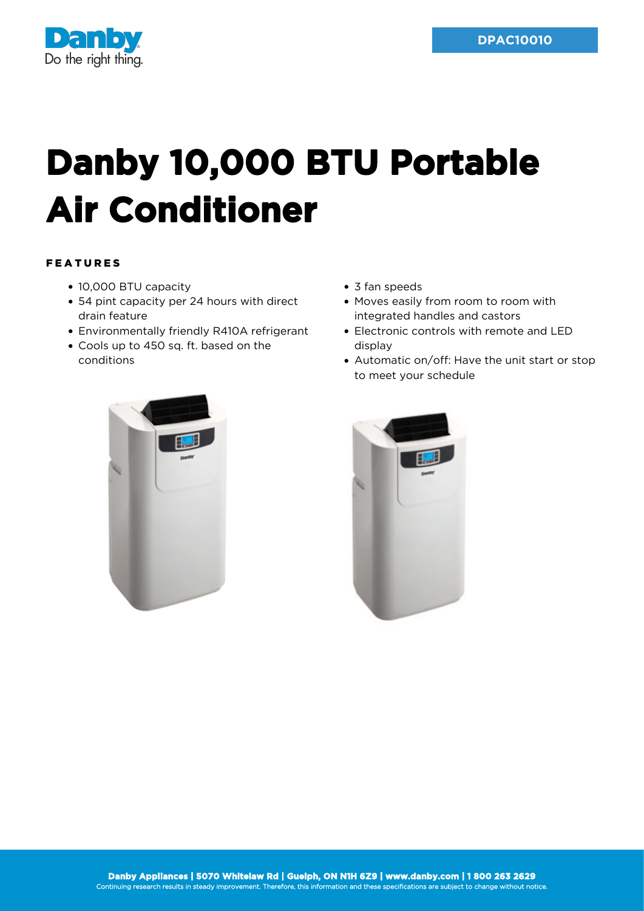



## **Danby 10,000 BTU Portable Air Conditioner**

## FEATURES

- 10,000 BTU capacity
- 54 pint capacity per 24 hours with direct drain feature
- Environmentally friendly R410A refrigerant
- Cools up to 450 sq. ft. based on the conditions
- 3 fan speeds
- Moves easily from room to room with integrated handles and castors
- Electronic controls with remote and LED display
- Automatic on/off: Have the unit start or stop to meet your schedule